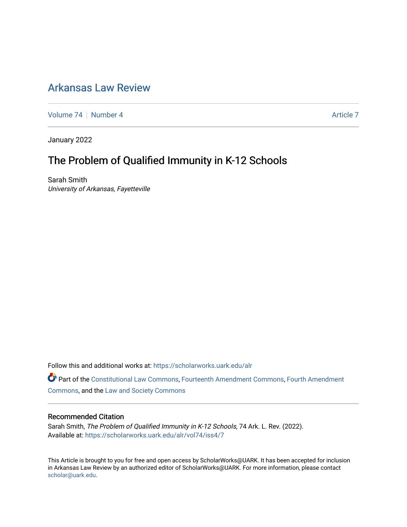## [Arkansas Law Review](https://scholarworks.uark.edu/alr)

[Volume 74](https://scholarworks.uark.edu/alr/vol74) | [Number 4](https://scholarworks.uark.edu/alr/vol74/iss4) Article 7

January 2022

# The Problem of Qualified Immunity in K-12 Schools

Sarah Smith University of Arkansas, Fayetteville

Follow this and additional works at: [https://scholarworks.uark.edu/alr](https://scholarworks.uark.edu/alr?utm_source=scholarworks.uark.edu%2Falr%2Fvol74%2Fiss4%2F7&utm_medium=PDF&utm_campaign=PDFCoverPages) 

Part of the [Constitutional Law Commons,](http://network.bepress.com/hgg/discipline/589?utm_source=scholarworks.uark.edu%2Falr%2Fvol74%2Fiss4%2F7&utm_medium=PDF&utm_campaign=PDFCoverPages) [Fourteenth Amendment Commons](http://network.bepress.com/hgg/discipline/1116?utm_source=scholarworks.uark.edu%2Falr%2Fvol74%2Fiss4%2F7&utm_medium=PDF&utm_campaign=PDFCoverPages), [Fourth Amendment](http://network.bepress.com/hgg/discipline/1180?utm_source=scholarworks.uark.edu%2Falr%2Fvol74%2Fiss4%2F7&utm_medium=PDF&utm_campaign=PDFCoverPages)  [Commons](http://network.bepress.com/hgg/discipline/1180?utm_source=scholarworks.uark.edu%2Falr%2Fvol74%2Fiss4%2F7&utm_medium=PDF&utm_campaign=PDFCoverPages), and the [Law and Society Commons](http://network.bepress.com/hgg/discipline/853?utm_source=scholarworks.uark.edu%2Falr%2Fvol74%2Fiss4%2F7&utm_medium=PDF&utm_campaign=PDFCoverPages)

#### Recommended Citation

Sarah Smith, The Problem of Qualified Immunity in K-12 Schools, 74 Ark. L. Rev. (2022). Available at: [https://scholarworks.uark.edu/alr/vol74/iss4/7](https://scholarworks.uark.edu/alr/vol74/iss4/7?utm_source=scholarworks.uark.edu%2Falr%2Fvol74%2Fiss4%2F7&utm_medium=PDF&utm_campaign=PDFCoverPages)

This Article is brought to you for free and open access by ScholarWorks@UARK. It has been accepted for inclusion in Arkansas Law Review by an authorized editor of ScholarWorks@UARK. For more information, please contact [scholar@uark.edu](mailto:scholar@uark.edu).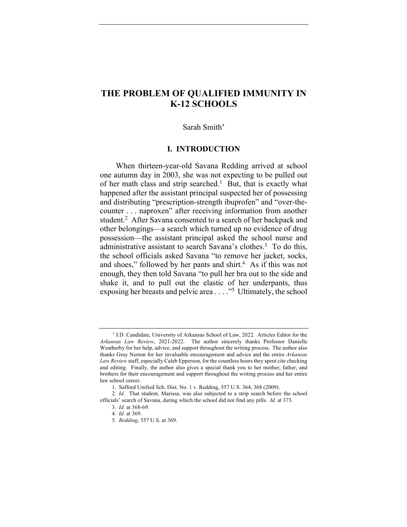## **THE PROBLEM OF QUALIFIED IMMUNITY IN K-12 SCHOOLS**

#### Sarah Smith\*

#### **I. INTRODUCTION**

When thirteen-year-old Savana Redding arrived at school one autumn day in 2003, she was not expecting to be pulled out of her math class and strip searched.<sup>1</sup> But, that is exactly what happened after the assistant principal suspected her of possessing and distributing "prescription-strength ibuprofen" and "over-thecounter . . . naproxen" after receiving information from another student.<sup>2</sup> After Savana consented to a search of her backpack and other belongings—a search which turned up no evidence of drug possession—the assistant principal asked the school nurse and administrative assistant to search Savana's clothes.<sup>3</sup> To do this, the school officials asked Savana "to remove her jacket, socks, and shoes," followed by her pants and shirt. $4$  As if this was not enough, they then told Savana "to pull her bra out to the side and shake it, and to pull out the elastic of her underpants, thus exposing her breasts and pelvic area . . . ."5 Ultimately, the school

\* J.D. Candidate, University of Arkansas School of Law, 2022. Articles Editor for the *Arkansas Law Review*, 2021-2022. The author sincerely thanks Professor Danielle Weatherby for her help, advice, and support throughout the writing process. The author also thanks Gray Norton for her invaluable encouragement and advice and the entire *Arkansas Law Review* staff, especially Caleb Epperson, for the countless hours they spent cite checking and editing. Finally, the author also gives a special thank you to her mother, father, and brothers for their encouragement and support throughout the writing process and her entire law school career.

<sup>1.</sup> Safford Unified Sch. Dist. No. 1 v. Redding, 557 U.S. 364, 368 (2009).

<sup>2</sup>*. Id.* That student, Marissa, was also subjected to a strip search before the school officials' search of Savana, during which the school did not find any pills. *Id.* at 373.

<sup>3</sup>*. Id.* at 368-69.

<sup>4</sup>*. Id.* at 369.

<sup>5</sup>*. Redding*, 557 U.S. at 369.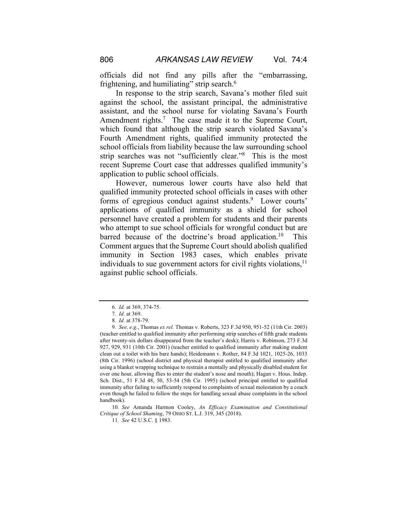officials did not find any pills after the "embarrassing, frightening, and humiliating" strip search. $6$ 

In response to the strip search, Savana's mother filed suit against the school, the assistant principal, the administrative assistant, and the school nurse for violating Savana's Fourth Amendment rights.<sup>7</sup> The case made it to the Supreme Court, which found that although the strip search violated Savana's Fourth Amendment rights, qualified immunity protected the school officials from liability because the law surrounding school strip searches was not "sufficiently clear."8 This is the most recent Supreme Court case that addresses qualified immunity's application to public school officials.

However, numerous lower courts have also held that qualified immunity protected school officials in cases with other forms of egregious conduct against students.<sup>9</sup> Lower courts' applications of qualified immunity as a shield for school personnel have created a problem for students and their parents who attempt to sue school officials for wrongful conduct but are barred because of the doctrine's broad application.<sup>10</sup> This Comment argues that the Supreme Court should abolish qualified immunity in Section 1983 cases, which enables private individuals to sue government actors for civil rights violations,<sup>11</sup> against public school officials.

10*. See* Amanda Harmon Cooley, *An Efficacy Examination and Constitutional Critique of School Shaming*, 79 OHIO ST. L.J. 319, 345 (2018).

<sup>6</sup>*. Id.* at 369, 374-75.

<sup>7</sup>*. Id.* at 369.

<sup>8</sup>*. Id.* at 378-79.

<sup>9</sup>*. See, e.g.*, Thomas *ex rel.* Thomas v. Roberts, 323 F.3d 950, 951-52 (11th Cir. 2003) (teacher entitled to qualified immunity after performing strip searches of fifth grade students after twenty-six dollars disappeared from the teacher's desk); Harris v. Robinson, 273 F.3d 927, 929, 931 (10th Cir. 2001) (teacher entitled to qualified immunity after making student clean out a toilet with his bare hands); Heidemann v. Rother, 84 F.3d 1021, 1025-26, 1033 (8th Cir. 1996) (school district and physical therapist entitled to qualified immunity after using a blanket wrapping technique to restrain a mentally and physically disabled student for over one hour, allowing flies to enter the student's nose and mouth); Hagan v. Hous. Indep. Sch. Dist., 51 F.3d 48, 50, 53-54 (5th Cir. 1995) (school principal entitled to qualified immunity after failing to sufficiently respond to complaints of sexual molestation by a coach even though he failed to follow the steps for handling sexual abuse complaints in the school handbook).

<sup>11</sup>*. See* 42 U.S.C. § 1983.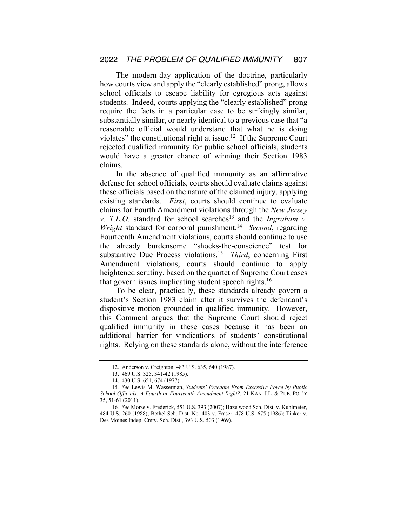The modern-day application of the doctrine, particularly how courts view and apply the "clearly established" prong, allows school officials to escape liability for egregious acts against students. Indeed, courts applying the "clearly established" prong require the facts in a particular case to be strikingly similar, substantially similar, or nearly identical to a previous case that "a reasonable official would understand that what he is doing violates" the constitutional right at issue.<sup>12</sup> If the Supreme Court rejected qualified immunity for public school officials, students would have a greater chance of winning their Section 1983 claims.

In the absence of qualified immunity as an affirmative defense for school officials, courts should evaluate claims against these officials based on the nature of the claimed injury, applying existing standards. *First*, courts should continue to evaluate claims for Fourth Amendment violations through the *New Jersey v. T.L.O.* standard for school searches<sup>13</sup> and the *Ingraham v. Wright* standard for corporal punishment.<sup>14</sup> *Second*, regarding Fourteenth Amendment violations, courts should continue to use the already burdensome "shocks-the-conscience" test for substantive Due Process violations.<sup>15</sup> *Third*, concerning First Amendment violations, courts should continue to apply heightened scrutiny, based on the quartet of Supreme Court cases that govern issues implicating student speech rights.<sup>16</sup>

To be clear, practically, these standards already govern a student's Section 1983 claim after it survives the defendant's dispositive motion grounded in qualified immunity. However, this Comment argues that the Supreme Court should reject qualified immunity in these cases because it has been an additional barrier for vindications of students' constitutional rights. Relying on these standards alone, without the interference

<sup>12.</sup> Anderson v. Creighton, 483 U.S. 635, 640 (1987).

<sup>13.</sup> 469 U.S. 325, 341-42 (1985).

<sup>14.</sup> 430 U.S. 651, 674 (1977).

<sup>15</sup>*. See* Lewis M. Wasserman, *Students' Freedom From Excessive Force by Public School Officials: A Fourth or Fourteenth Amendment Right?*, 21 KAN. J.L. & PUB. POL'Y 35, 51-61 (2011).

<sup>16</sup>*. See* Morse v. Frederick, 551 U.S. 393 (2007); Hazelwood Sch. Dist. v. Kuhlmeier, 484 U.S. 260 (1988); Bethel Sch. Dist. No. 403 v. Fraser, 478 U.S. 675 (1986); Tinker v. Des Moines Indep. Cmty. Sch. Dist., 393 U.S. 503 (1969).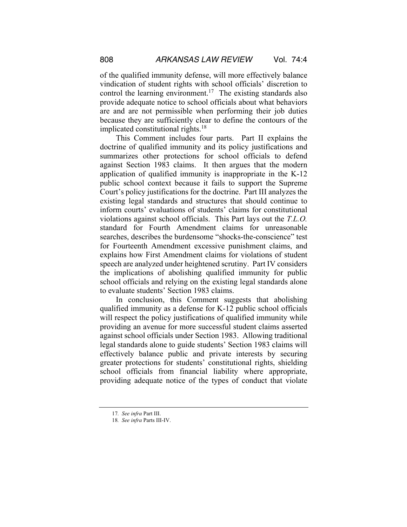of the qualified immunity defense, will more effectively balance vindication of student rights with school officials' discretion to control the learning environment.<sup>17</sup> The existing standards also provide adequate notice to school officials about what behaviors are and are not permissible when performing their job duties because they are sufficiently clear to define the contours of the implicated constitutional rights.<sup>18</sup>

This Comment includes four parts. Part II explains the doctrine of qualified immunity and its policy justifications and summarizes other protections for school officials to defend against Section 1983 claims. It then argues that the modern application of qualified immunity is inappropriate in the K-12 public school context because it fails to support the Supreme Court's policy justifications for the doctrine. Part III analyzes the existing legal standards and structures that should continue to inform courts' evaluations of students' claims for constitutional violations against school officials. This Part lays out the *T.L.O.* standard for Fourth Amendment claims for unreasonable searches, describes the burdensome "shocks-the-conscience" test for Fourteenth Amendment excessive punishment claims, and explains how First Amendment claims for violations of student speech are analyzed under heightened scrutiny. Part IV considers the implications of abolishing qualified immunity for public school officials and relying on the existing legal standards alone to evaluate students' Section 1983 claims.

In conclusion, this Comment suggests that abolishing qualified immunity as a defense for K-12 public school officials will respect the policy justifications of qualified immunity while providing an avenue for more successful student claims asserted against school officials under Section 1983. Allowing traditional legal standards alone to guide students' Section 1983 claims will effectively balance public and private interests by securing greater protections for students' constitutional rights, shielding school officials from financial liability where appropriate, providing adequate notice of the types of conduct that violate

<sup>17</sup>*. See infra* Part III.

<sup>18</sup>*. See infra* Parts III-IV.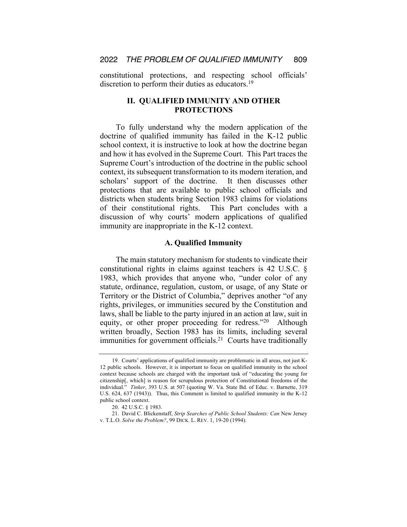constitutional protections, and respecting school officials' discretion to perform their duties as educators.<sup>19</sup>

## **II. QUALIFIED IMMUNITY AND OTHER PROTECTIONS**

To fully understand why the modern application of the doctrine of qualified immunity has failed in the K-12 public school context, it is instructive to look at how the doctrine began and how it has evolved in the Supreme Court. This Part traces the Supreme Court's introduction of the doctrine in the public school context, its subsequent transformation to its modern iteration, and scholars' support of the doctrine. It then discusses other protections that are available to public school officials and districts when students bring Section 1983 claims for violations of their constitutional rights. This Part concludes with a discussion of why courts' modern applications of qualified immunity are inappropriate in the K-12 context.

#### **A. Qualified Immunity**

The main statutory mechanism for students to vindicate their constitutional rights in claims against teachers is 42 U.S.C. § 1983, which provides that anyone who, "under color of any statute, ordinance, regulation, custom, or usage, of any State or Territory or the District of Columbia," deprives another "of any rights, privileges, or immunities secured by the Constitution and laws, shall be liable to the party injured in an action at law, suit in equity, or other proper proceeding for redress."20 Although written broadly, Section 1983 has its limits, including several immunities for government officials.<sup>21</sup> Courts have traditionally

<sup>19.</sup> Courts' applications of qualified immunity are problematic in all areas, not just K-12 public schools. However, it is important to focus on qualified immunity in the school context because schools are charged with the important task of "educating the young for citizenship[, which] is reason for scrupulous protection of Constitutional freedoms of the individual." *Tinker*, 393 U.S. at 507 (quoting W. Va. State Bd. of Educ. v. Barnette, 319 U.S. 624, 637 (1943)). Thus, this Comment is limited to qualified immunity in the K-12 public school context.

<sup>20.</sup> 42 U.S.C. § 1983.

<sup>21.</sup> David C. Blickenstaff, *Strip Searches of Public School Students: Can* New Jersey v. T.L.O. *Solve the Problem?*, 99 DICK. L. REV. 1, 19-20 (1994).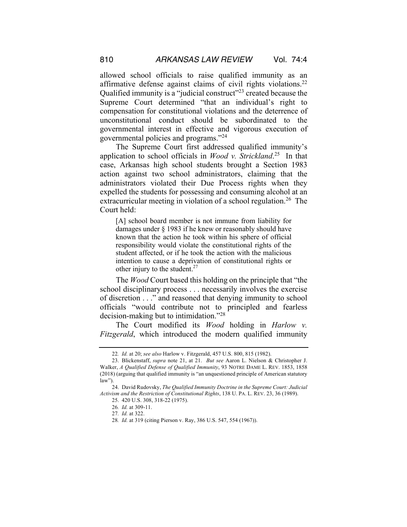allowed school officials to raise qualified immunity as an affirmative defense against claims of civil rights violations.22 Qualified immunity is a "judicial construct"23 created because the Supreme Court determined "that an individual's right to compensation for constitutional violations and the deterrence of unconstitutional conduct should be subordinated to the governmental interest in effective and vigorous execution of governmental policies and programs."24

The Supreme Court first addressed qualified immunity's application to school officials in *Wood v. Strickland*. 25 In that case, Arkansas high school students brought a Section 1983 action against two school administrators, claiming that the administrators violated their Due Process rights when they expelled the students for possessing and consuming alcohol at an extracurricular meeting in violation of a school regulation.<sup>26</sup> The Court held:

[A] school board member is not immune from liability for damages under § 1983 if he knew or reasonably should have known that the action he took within his sphere of official responsibility would violate the constitutional rights of the student affected, or if he took the action with the malicious intention to cause a deprivation of constitutional rights or other injury to the student. $27$ 

The *Wood* Court based this holding on the principle that "the school disciplinary process . . . necessarily involves the exercise of discretion . . ." and reasoned that denying immunity to school officials "would contribute not to principled and fearless decision-making but to intimidation."28

The Court modified its *Wood* holding in *Harlow v. Fitzgerald*, which introduced the modern qualified immunity

<sup>22</sup>*. Id.* at 20; *see also* Harlow v. Fitzgerald, 457 U.S. 800, 815 (1982).

<sup>23.</sup> Blickenstaff, *supra* note 21, at 21. *But see* Aaron L. Nielson & Christopher J. Walker, *A Qualified Defense of Qualified Immunity*, 93 NOTRE DAME L. REV. 1853, 1858 (2018) (arguing that qualified immunity is "an unquestioned principle of American statutory law").

<sup>24.</sup> David Rudovsky, *The Qualified Immunity Doctrine in the Supreme Court: Judicial Activism and the Restriction of Constitutional Rights*, 138 U. PA. L. REV. 23, 36 (1989).

<sup>25.</sup> 420 U.S. 308, 318-22 (1975).

<sup>26</sup>*. Id.* at 309-11.

<sup>27</sup>*. Id.* at 322.

<sup>28</sup>*. Id.* at 319 (citing Pierson v. Ray, 386 U.S. 547, 554 (1967)).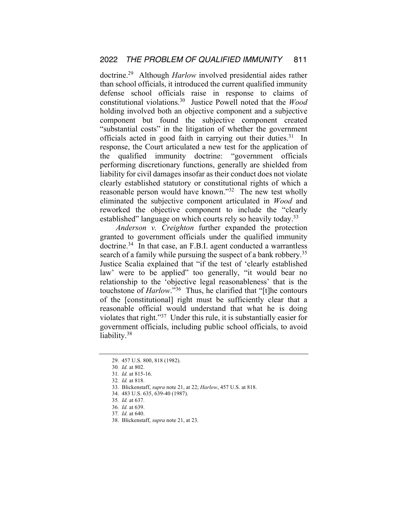doctrine.29 Although *Harlow* involved presidential aides rather than school officials, it introduced the current qualified immunity defense school officials raise in response to claims of constitutional violations.30 Justice Powell noted that the *Wood* holding involved both an objective component and a subjective component but found the subjective component created "substantial costs" in the litigation of whether the government officials acted in good faith in carrying out their duties.<sup>31</sup> In response, the Court articulated a new test for the application of the qualified immunity doctrine: "government officials performing discretionary functions, generally are shielded from liability for civil damages insofar as their conduct does not violate clearly established statutory or constitutional rights of which a reasonable person would have known."32 The new test wholly eliminated the subjective component articulated in *Wood* and reworked the objective component to include the "clearly established" language on which courts rely so heavily today.<sup>33</sup>

*Anderson v. Creighton* further expanded the protection granted to government officials under the qualified immunity doctrine.<sup>34</sup> In that case, an F.B.I. agent conducted a warrantless search of a family while pursuing the suspect of a bank robbery.<sup>35</sup> Justice Scalia explained that "if the test of 'clearly established law' were to be applied" too generally, "it would bear no relationship to the 'objective legal reasonableness' that is the touchstone of *Harlow*."36 Thus, he clarified that "[t]he contours of the [constitutional] right must be sufficiently clear that a reasonable official would understand that what he is doing violates that right."37 Under this rule, it is substantially easier for government officials, including public school officials, to avoid liability.<sup>38</sup>

<sup>29.</sup> 457 U.S. 800, 818 (1982).

<sup>30</sup>*. Id.* at 802.

<sup>31</sup>*. Id.* at 815-16.

<sup>32</sup>*. Id.* at 818.

<sup>33.</sup> Blickenstaff, *supra* note 21, at 22; *Harlow*, 457 U.S. at 818.

<sup>34.</sup> 483 U.S. 635, 639-40 (1987).

<sup>35</sup>*. Id.* at 637.

<sup>36</sup>*. Id.* at 639.

<sup>37</sup>*. Id.* at 640.

<sup>38.</sup> Blickenstaff, *supra* note 21, at 23.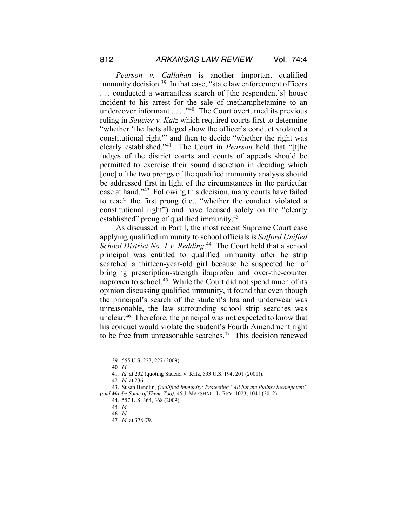*Pearson v. Callahan* is another important qualified immunity decision.<sup>39</sup> In that case, "state law enforcement officers . . . conducted a warrantless search of [the respondent's] house incident to his arrest for the sale of methamphetamine to an undercover informant  $\dots$  ."<sup>40</sup> The Court overturned its previous ruling in *Saucier v. Katz* which required courts first to determine "whether 'the facts alleged show the officer's conduct violated a constitutional right'" and then to decide "whether the right was clearly established."41 The Court in *Pearson* held that "[t]he judges of the district courts and courts of appeals should be permitted to exercise their sound discretion in deciding which [one] of the two prongs of the qualified immunity analysis should be addressed first in light of the circumstances in the particular case at hand."42 Following this decision, many courts have failed to reach the first prong (i.e., "whether the conduct violated a constitutional right") and have focused solely on the "clearly established" prong of qualified immunity.<sup>43</sup>

As discussed in Part I, the most recent Supreme Court case applying qualified immunity to school officials is *Safford Unified School District No. 1 v. Redding*. 44 The Court held that a school principal was entitled to qualified immunity after he strip searched a thirteen-year-old girl because he suspected her of bringing prescription-strength ibuprofen and over-the-counter naproxen to school.<sup>45</sup> While the Court did not spend much of its opinion discussing qualified immunity, it found that even though the principal's search of the student's bra and underwear was unreasonable, the law surrounding school strip searches was unclear.46 Therefore, the principal was not expected to know that his conduct would violate the student's Fourth Amendment right to be free from unreasonable searches. $47$  This decision renewed

<sup>39.</sup> 555 U.S. 223, 227 (2009).

<sup>40</sup>*. Id.*

<sup>41</sup>*. Id.* at 232 (quoting Saucier v. Katz, 533 U.S. 194, 201 (2001)).

<sup>42</sup>*. Id.* at 236.

<sup>43.</sup> Susan Bendlin, *Qualified Immunity: Protecting "All but the Plainly Incompetent" (and Maybe Some of Them, Too)*, 45 J. MARSHALL L. REV. 1023, 1041 (2012).

<sup>44.</sup> 557 U.S. 364, 368 (2009).

<sup>45</sup>*. Id.*

<sup>46</sup>*. Id.*

<sup>47</sup>*. Id.* at 378-79.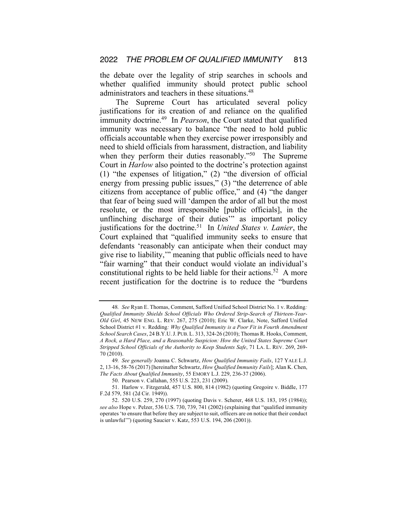the debate over the legality of strip searches in schools and whether qualified immunity should protect public school administrators and teachers in these situations.<sup>48</sup>

The Supreme Court has articulated several policy justifications for its creation of and reliance on the qualified immunity doctrine.49 In *Pearson*, the Court stated that qualified immunity was necessary to balance "the need to hold public officials accountable when they exercise power irresponsibly and need to shield officials from harassment, distraction, and liability when they perform their duties reasonably."<sup>50</sup> The Supreme Court in *Harlow* also pointed to the doctrine's protection against (1) "the expenses of litigation," (2) "the diversion of official energy from pressing public issues," (3) "the deterrence of able citizens from acceptance of public office," and (4) "the danger that fear of being sued will 'dampen the ardor of all but the most resolute, or the most irresponsible [public officials], in the unflinching discharge of their duties'" as important policy justifications for the doctrine.51 In *United States v. Lanier*, the Court explained that "qualified immunity seeks to ensure that defendants 'reasonably can anticipate when their conduct may give rise to liability,'" meaning that public officials need to have "fair warning" that their conduct would violate an individual's constitutional rights to be held liable for their actions.<sup>52</sup> A more recent justification for the doctrine is to reduce the "burdens

<sup>48</sup>*. See* Ryan E. Thomas, Comment, Safford Unified School District No. 1 v. Redding*: Qualified Immunity Shields School Officials Who Ordered Strip-Search of Thirteen-Year-Old Girl*, 45 NEW ENG. L. REV. 267, 275 (2010); Eric W. Clarke, Note, Safford Unified School District #1 v. Redding*: Why Qualified Immunity is a Poor Fit in Fourth Amendment School Search Cases*, 24 B.Y.U.J. PUB. L. 313, 324-26 (2010); Thomas R. Hooks, Comment, *A Rock, a Hard Place, and a Reasonable Suspicion: How the United States Supreme Court Stripped School Officials of the Authority to Keep Students Safe*, 71 LA. L. REV. 269, 269- 70 (2010).

<sup>49</sup>*. See generally* Joanna C. Schwartz, *How Qualified Immunity Fails*, 127 YALE L.J. 2, 13-16, 58-76 (2017) [hereinafter Schwartz, *How Qualified Immunity Fails*]; Alan K. Chen, *The Facts About Qualified Immunity*, 55 EMORY L.J. 229, 236-37 (2006).

<sup>50.</sup> Pearson v. Callahan, 555 U.S. 223, 231 (2009).

<sup>51.</sup> Harlow v. Fitzgerald, 457 U.S. 800, 814 (1982) (quoting Gregoire v. Biddle, 177 F.2d 579, 581 (2d Cir. 1949)).

<sup>52.</sup> 520 U.S. 259, 270 (1997) (quoting Davis v. Scherer, 468 U.S. 183, 195 (1984)); *see also* Hope v. Pelzer, 536 U.S. 730, 739, 741 (2002) (explaining that "qualified immunity operates 'to ensure that before they are subject to suit, officers are on notice that their conduct is unlawful'") (quoting Saucier v. Katz, 553 U.S. 194, 206 (2001)).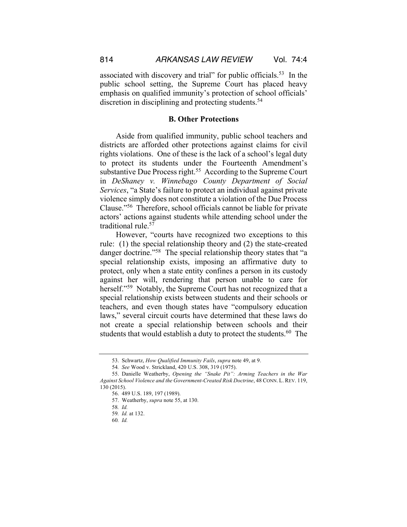associated with discovery and trial" for public officials.53 In the public school setting, the Supreme Court has placed heavy emphasis on qualified immunity's protection of school officials' discretion in disciplining and protecting students.<sup>54</sup>

#### **B. Other Protections**

Aside from qualified immunity, public school teachers and districts are afforded other protections against claims for civil rights violations. One of these is the lack of a school's legal duty to protect its students under the Fourteenth Amendment's substantive Due Process right.<sup>55</sup> According to the Supreme Court in *DeShaney v. Winnebago County Department of Social Services*, "a State's failure to protect an individual against private violence simply does not constitute a violation of the Due Process Clause."56 Therefore, school officials cannot be liable for private actors' actions against students while attending school under the traditional rule.<sup>57</sup>

However, "courts have recognized two exceptions to this rule: (1) the special relationship theory and (2) the state-created danger doctrine."<sup>58</sup> The special relationship theory states that "a special relationship exists, imposing an affirmative duty to protect, only when a state entity confines a person in its custody against her will, rendering that person unable to care for herself."<sup>59</sup> Notably, the Supreme Court has not recognized that a special relationship exists between students and their schools or teachers, and even though states have "compulsory education laws," several circuit courts have determined that these laws do not create a special relationship between schools and their students that would establish a duty to protect the students.<sup>60</sup> The

<sup>53.</sup> Schwartz, *How Qualified Immunity Fails*, *supra* note 49, at 9.

<sup>54</sup>*. See* Wood v. Strickland, 420 U.S. 308, 319 (1975).

<sup>55.</sup> Danielle Weatherby, *Opening the "Snake Pit": Arming Teachers in the War Against School Violence and the Government-Created Risk Doctrine*, 48 CONN. L. REV. 119, 130 (2015).

<sup>56.</sup> 489 U.S. 189, 197 (1989).

<sup>57.</sup> Weatherby, *supra* note 55, at 130.

<sup>58</sup>*. Id.*

<sup>59</sup>*. Id.* at 132.

<sup>60</sup>*. Id.*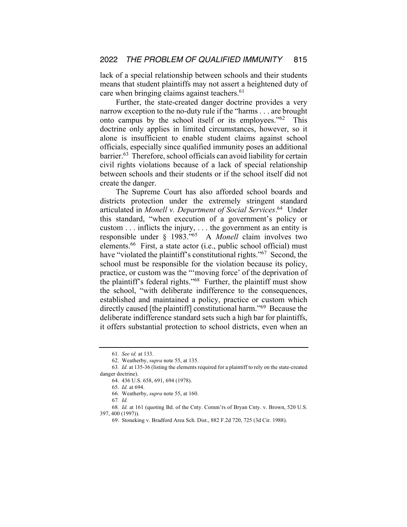lack of a special relationship between schools and their students means that student plaintiffs may not assert a heightened duty of care when bringing claims against teachers.<sup>61</sup>

Further, the state-created danger doctrine provides a very narrow exception to the no-duty rule if the "harms . . . are brought onto campus by the school itself or its employees."62 This doctrine only applies in limited circumstances, however, so it alone is insufficient to enable student claims against school officials, especially since qualified immunity poses an additional barrier.63 Therefore, school officials can avoid liability for certain civil rights violations because of a lack of special relationship between schools and their students or if the school itself did not create the danger.

The Supreme Court has also afforded school boards and districts protection under the extremely stringent standard articulated in *Monell v. Department of Social Services*. 64 Under this standard, "when execution of a government's policy or custom . . . inflicts the injury, . . . the government as an entity is responsible under § 1983."65 A *Monell* claim involves two elements.<sup>66</sup> First, a state actor (i.e., public school official) must have "violated the plaintiff's constitutional rights."<sup>67</sup> Second, the school must be responsible for the violation because its policy, practice, or custom was the "'moving force' of the deprivation of the plaintiff's federal rights."68 Further, the plaintiff must show the school, "with deliberate indifference to the consequences, established and maintained a policy, practice or custom which directly caused [the plaintiff] constitutional harm."69 Because the deliberate indifference standard sets such a high bar for plaintiffs, it offers substantial protection to school districts, even when an

65*. Id.* at 694.

67*. Id.*

<sup>61</sup>*. See id.* at 133.

<sup>62.</sup> Weatherby, *supra* note 55, at 135.

<sup>63</sup>*. Id.* at 135-36 (listing the elements required for a plaintiff to rely on the state-created danger doctrine).

<sup>64.</sup> 436 U.S. 658, 691, 694 (1978).

<sup>66.</sup> Weatherby, *supra* note 55, at 160.

<sup>68</sup>*. Id.* at 161 (quoting Bd. of the Cnty. Comm'rs of Bryan Cnty. v. Brown, 520 U.S. 397, 400 (1997)).

<sup>69.</sup> Stoneking v. Bradford Area Sch. Dist., 882 F.2d 720, 725 (3d Cir. 1988).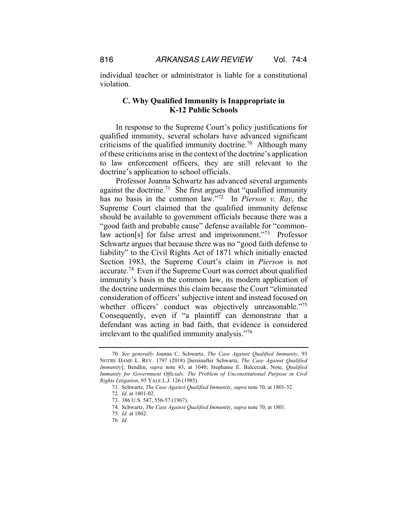individual teacher or administrator is liable for a constitutional violation.

## **C. Why Qualified Immunity is Inappropriate in K-12 Public Schools**

In response to the Supreme Court's policy justifications for qualified immunity, several scholars have advanced significant criticisms of the qualified immunity doctrine.<sup>70</sup> Although many of these criticisms arise in the context of the doctrine's application to law enforcement officers, they are still relevant to the doctrine's application to school officials.

Professor Joanna Schwartz has advanced several arguments against the doctrine.<sup>71</sup> She first argues that "qualified immunity" has no basis in the common law."72 In *Pierson v. Ray*, the Supreme Court claimed that the qualified immunity defense should be available to government officials because there was a "good faith and probable cause" defense available for "commonlaw action<sup>[s]</sup> for false arrest and imprisonment."<sup>73</sup> Professor Schwartz argues that because there was no "good faith defense to liability" to the Civil Rights Act of 1871 which initially enacted Section 1983, the Supreme Court's claim in *Pierson* is not accurate.74 Even if the Supreme Court was correct about qualified immunity's basis in the common law, its modern application of the doctrine undermines this claim because the Court "eliminated consideration of officers' subjective intent and instead focused on whether officers' conduct was objectively unreasonable."<sup>75</sup> Consequently, even if "a plaintiff can demonstrate that a defendant was acting in bad faith, that evidence is considered irrelevant to the qualified immunity analysis."<sup>76</sup>

<sup>70</sup>*. See generally* Joanna C. Schwartz, *The Case Against Qualified Immunity*, 93 NOTRE DAME L. REV. 1797 (2018) [hereinafter Schwartz, *The Case Against Qualified Immunity*]; Bendlin, *supra* note 43, at 1040; Stephanie E. Balcerzak, Note, *Qualified Immunity for Government Officials: The Problem of Unconstitutional Purpose in Civil Rights Litigation*, 95 YALE L.J. 126 (1985).

<sup>71.</sup> Schwartz, *The Case Against Qualified Immunity*, *supra* note 70, at 1801-32.

<sup>72</sup>*. Id.* at 1801-02.

<sup>73.</sup> 386 U.S. 547, 556-57 (1967).

<sup>74.</sup> Schwartz, *The Case Against Qualified Immunity*, *supra* note 70, at 1801.

<sup>75</sup>*. Id.* at 1802.

<sup>76</sup>*. Id.*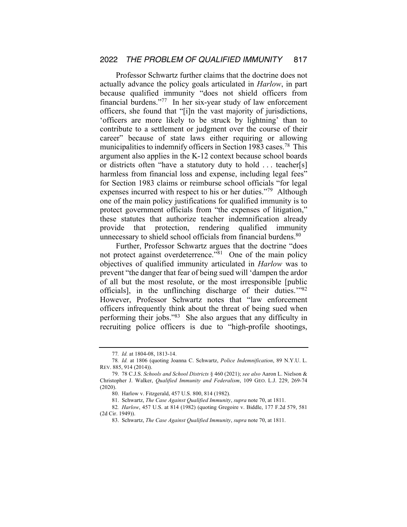Professor Schwartz further claims that the doctrine does not actually advance the policy goals articulated in *Harlow*, in part because qualified immunity "does not shield officers from financial burdens."77 In her six-year study of law enforcement officers, she found that "[i]n the vast majority of jurisdictions, 'officers are more likely to be struck by lightning' than to contribute to a settlement or judgment over the course of their career" because of state laws either requiring or allowing municipalities to indemnify officers in Section 1983 cases.78 This argument also applies in the K-12 context because school boards or districts often "have a statutory duty to hold . . . teacher[s] harmless from financial loss and expense, including legal fees" for Section 1983 claims or reimburse school officials "for legal expenses incurred with respect to his or her duties."79 Although one of the main policy justifications for qualified immunity is to protect government officials from "the expenses of litigation," these statutes that authorize teacher indemnification already provide that protection, rendering qualified immunity unnecessary to shield school officials from financial burdens.<sup>80</sup>

Further, Professor Schwartz argues that the doctrine "does not protect against overdeterrence."<sup>81</sup> One of the main policy objectives of qualified immunity articulated in *Harlow* was to prevent "the danger that fear of being sued will 'dampen the ardor of all but the most resolute, or the most irresponsible [public officials], in the unflinching discharge of their duties.'"82 However, Professor Schwartz notes that "law enforcement officers infrequently think about the threat of being sued when performing their jobs."83 She also argues that any difficulty in recruiting police officers is due to "high-profile shootings,

<sup>77</sup>*. Id.* at 1804-08, 1813-14.

<sup>78</sup>*. Id.* at 1806 (quoting Joanna C. Schwartz, *Police Indemnification*, 89 N.Y.U. L. REV. 885, 914 (2014)).

<sup>79.</sup> 78 C.J.S. *Schools and School Districts* § 460 (2021); *see also* Aaron L. Nielson & Christopher J. Walker, *Qualified Immunity and Federalism*, 109 GEO. L.J. 229, 269-74 (2020).

<sup>80.</sup> Harlow v. Fitzgerald, 457 U.S. 800, 814 (1982).

<sup>81.</sup> Schwartz, *The Case Against Qualified Immunity*, *supra* note 70, at 1811.

<sup>82</sup>*. Harlow*, 457 U.S. at 814 (1982) (quoting Gregoire v. Biddle, 177 F.2d 579, 581 (2d Cir. 1949)).

<sup>83.</sup> Schwartz, *The Case Against Qualified Immunity*, *supra* note 70, at 1811.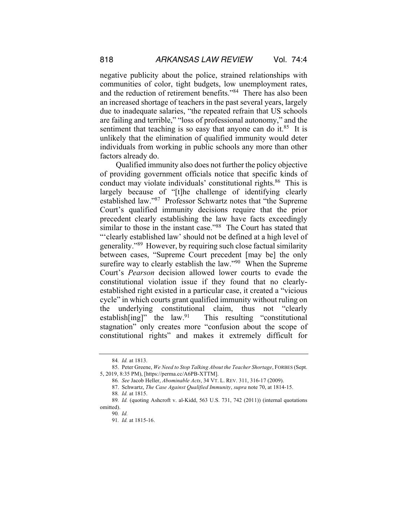negative publicity about the police, strained relationships with communities of color, tight budgets, low unemployment rates, and the reduction of retirement benefits."84 There has also been an increased shortage of teachers in the past several years, largely due to inadequate salaries, "the repeated refrain that US schools are failing and terrible," "loss of professional autonomy," and the sentiment that teaching is so easy that anyone can do it. $85$  It is unlikely that the elimination of qualified immunity would deter individuals from working in public schools any more than other factors already do.

Qualified immunity also does not further the policy objective of providing government officials notice that specific kinds of conduct may violate individuals' constitutional rights.<sup>86</sup> This is largely because of "[t]he challenge of identifying clearly established law."87 Professor Schwartz notes that "the Supreme Court's qualified immunity decisions require that the prior precedent clearly establishing the law have facts exceedingly similar to those in the instant case."88 The Court has stated that "'clearly established law' should not be defined at a high level of generality."89 However, by requiring such close factual similarity between cases, "Supreme Court precedent [may be] the only surefire way to clearly establish the law."<sup>90</sup> When the Supreme Court's *Pearson* decision allowed lower courts to evade the constitutional violation issue if they found that no clearlyestablished right existed in a particular case, it created a "vicious cycle" in which courts grant qualified immunity without ruling on the underlying constitutional claim, thus not "clearly establish[ing]" the law.<sup>91</sup> This resulting "constitutional stagnation" only creates more "confusion about the scope of constitutional rights" and makes it extremely difficult for

<sup>84</sup>*. Id.* at 1813.

<sup>85.</sup> Peter Greene, *We Need to Stop Talking About the Teacher Shortage*, FORBES (Sept. 5, 2019, 8:35 PM), [https://perma.cc/A6PB-XTTM].

<sup>86</sup>*. See* Jacob Heller, *Abominable Acts*, 34 VT. L. REV. 311, 316-17 (2009).

<sup>87.</sup> Schwartz, *The Case Against Qualified Immunity*, *supra* note 70, at 1814-15.

<sup>88</sup>*. Id.* at 1815.

<sup>89</sup>*. Id.* (quoting Ashcroft v. al-Kidd, 563 U.S. 731, 742 (2011)) (internal quotations omitted).

<sup>90</sup>*. Id.*

<sup>91</sup>*. Id.* at 1815-16.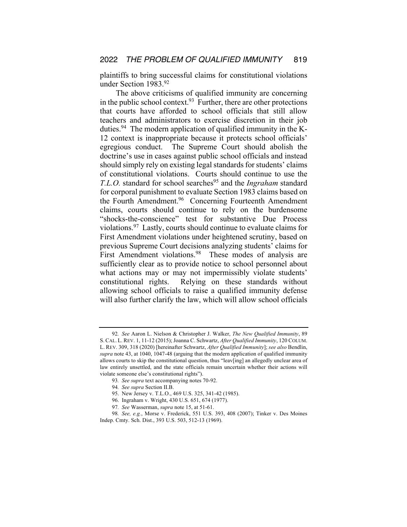plaintiffs to bring successful claims for constitutional violations under Section 1983.92

The above criticisms of qualified immunity are concerning in the public school context. $93$  Further, there are other protections that courts have afforded to school officials that still allow teachers and administrators to exercise discretion in their job duties.<sup>94</sup> The modern application of qualified immunity in the K-12 context is inappropriate because it protects school officials' egregious conduct. The Supreme Court should abolish the doctrine's use in cases against public school officials and instead should simply rely on existing legal standards for students' claims of constitutional violations. Courts should continue to use the *T.L.O.* standard for school searches<sup>95</sup> and the *Ingraham* standard for corporal punishment to evaluate Section 1983 claims based on the Fourth Amendment.<sup>96</sup> Concerning Fourteenth Amendment claims, courts should continue to rely on the burdensome "shocks-the-conscience" test for substantive Due Process violations.97 Lastly, courts should continue to evaluate claims for First Amendment violations under heightened scrutiny, based on previous Supreme Court decisions analyzing students' claims for First Amendment violations.<sup>98</sup> These modes of analysis are sufficiently clear as to provide notice to school personnel about what actions may or may not impermissibly violate students' constitutional rights. Relying on these standards without allowing school officials to raise a qualified immunity defense will also further clarify the law, which will allow school officials

<sup>92</sup>*. See* Aaron L. Nielson & Christopher J. Walker, *The New Qualified Immunity*, 89 S. CAL. L. REV. 1, 11-12 (2015); Joanna C. Schwartz, *After Qualified Immunity*, 120 COLUM. L. REV. 309, 318 (2020) [hereinafter Schwartz, *After Qualified Immunity*]; *see also* Bendlin, *supra* note 43, at 1040, 1047-48 (arguing that the modern application of qualified immunity allows courts to skip the constitutional question, thus "leav[ing] an allegedly unclear area of law entirely unsettled, and the state officials remain uncertain whether their actions will violate someone else's constitutional rights").

<sup>93</sup>*. See supra* text accompanying notes 70-92.

<sup>94</sup>*. See supra* Section II.B.

<sup>95.</sup> New Jersey v. T.L.O., 469 U.S. 325, 341-42 (1985).

<sup>96.</sup> Ingraham v. Wright, 430 U.S. 651, 674 (1977).

<sup>97</sup>*. See* Wasserman, *supra* note 15, at 51-61.

<sup>98</sup>*. See, e.g.*, Morse v. Frederick, 551 U.S. 393, 408 (2007); Tinker v. Des Moines Indep. Cmty. Sch. Dist., 393 U.S. 503, 512-13 (1969).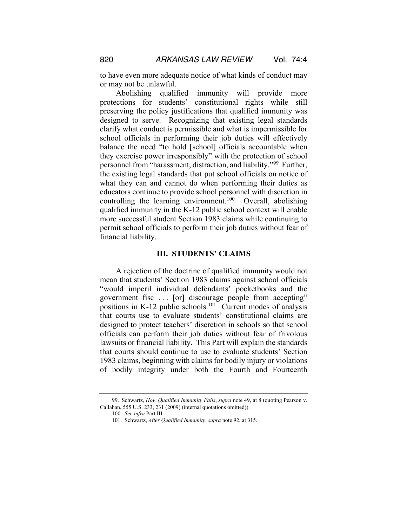to have even more adequate notice of what kinds of conduct may or may not be unlawful.

Abolishing qualified immunity will provide more protections for students' constitutional rights while still preserving the policy justifications that qualified immunity was designed to serve. Recognizing that existing legal standards clarify what conduct is permissible and what is impermissible for school officials in performing their job duties will effectively balance the need "to hold [school] officials accountable when they exercise power irresponsibly" with the protection of school personnel from "harassment, distraction, and liability."99 Further, the existing legal standards that put school officials on notice of what they can and cannot do when performing their duties as educators continue to provide school personnel with discretion in controlling the learning environment.<sup>100</sup> Overall, abolishing qualified immunity in the K-12 public school context will enable more successful student Section 1983 claims while continuing to permit school officials to perform their job duties without fear of financial liability.

### **III. STUDENTS' CLAIMS**

A rejection of the doctrine of qualified immunity would not mean that students' Section 1983 claims against school officials "would imperil individual defendants' pocketbooks and the government fisc . . . [or] discourage people from accepting" positions in K-12 public schools.<sup>101</sup> Current modes of analysis that courts use to evaluate students' constitutional claims are designed to protect teachers' discretion in schools so that school officials can perform their job duties without fear of frivolous lawsuits or financial liability. This Part will explain the standards that courts should continue to use to evaluate students' Section 1983 claims, beginning with claims for bodily injury or violations of bodily integrity under both the Fourth and Fourteenth

<sup>99.</sup> Schwartz, *How Qualified Immunity Fails*, *supra* note 49, at 8 (quoting Pearson v. Callahan, 555 U.S. 233, 231 (2009) (internal quotations omitted)).

<sup>100</sup>*. See infra* Part III.

<sup>101.</sup> Schwartz, *After Qualified Immunity*, *supra* note 92, at 315.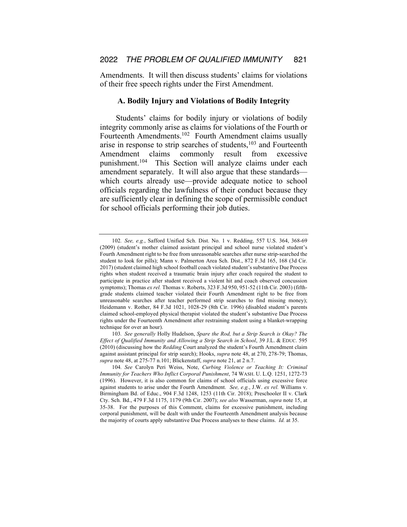Amendments. It will then discuss students' claims for violations of their free speech rights under the First Amendment.

#### **A. Bodily Injury and Violations of Bodily Integrity**

Students' claims for bodily injury or violations of bodily integrity commonly arise as claims for violations of the Fourth or Fourteenth Amendments.102 Fourth Amendment claims usually arise in response to strip searches of students, $103$  and Fourteenth Amendment claims commonly result from excessive punishment.<sup>104</sup> This Section will analyze claims under each amendment separately. It will also argue that these standards which courts already use—provide adequate notice to school officials regarding the lawfulness of their conduct because they are sufficiently clear in defining the scope of permissible conduct for school officials performing their job duties.

<sup>102</sup>*. See, e.g.*, Safford Unified Sch. Dist. No. 1 v. Redding, 557 U.S. 364, 368-69 (2009) (student's mother claimed assistant principal and school nurse violated student's Fourth Amendment right to be free from unreasonable searches after nurse strip-searched the student to look for pills); Mann v. Palmerton Area Sch. Dist., 872 F.3d 165, 168 (3d Cir. 2017) (student claimed high school football coach violated student's substantive Due Process rights when student received a traumatic brain injury after coach required the student to participate in practice after student received a violent hit and coach observed concussion symptoms); Thomas *ex rel.* Thomas v. Roberts, 323 F.3d 950, 951-52 (11th Cir. 2003) (fifthgrade students claimed teacher violated their Fourth Amendment right to be free from unreasonable searches after teacher performed strip searches to find missing money); Heidemann v. Rother, 84 F.3d 1021, 1028-29 (8th Cir. 1996) (disabled student's parents claimed school-employed physical therapist violated the student's substantive Due Process rights under the Fourteenth Amendment after restraining student using a blanket-wrapping technique for over an hour).

<sup>103</sup>*. See generally* Holly Hudelson, *Spare the Rod, but a Strip Search is Okay? The Effect of Qualified Immunity and Allowing a Strip Search in School*, 39 J.L. & EDUC. 595 (2010) (discussing how the *Redding* Court analyzed the student's Fourth Amendment claim against assistant principal for strip search); Hooks, *supra* note 48, at 270, 278-79; Thomas, *supra* note 48, at 275-77 n.101; Blickenstaff, *supra* note 21, at 2 n.7.

<sup>104</sup>*. See* Carolyn Peri Weiss, Note, *Curbing Violence or Teaching It: Criminal Immunity for Teachers Who Inflict Corporal Punishment*, 74 WASH. U. L.Q. 1251, 1272-73 (1996). However, it is also common for claims of school officials using excessive force against students to arise under the Fourth Amendment. *See, e.g.*, J.W. *ex rel.* Williams v. Birmingham Bd. of Educ., 904 F.3d 1248, 1253 (11th Cir. 2018); Preschooler II v. Clark Cty. Sch. Bd., 479 F.3d 1175, 1179 (9th Cir. 2007); *see also* Wasserman, *supra* note 15, at 35-38. For the purposes of this Comment, claims for excessive punishment, including corporal punishment, will be dealt with under the Fourteenth Amendment analysis because the majority of courts apply substantive Due Process analyses to these claims. *Id.* at 35.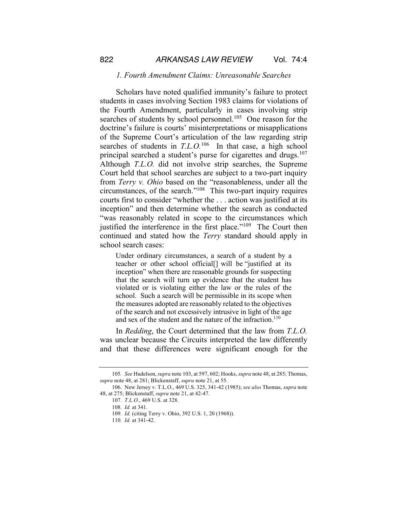#### *1. Fourth Amendment Claims: Unreasonable Searches*

Scholars have noted qualified immunity's failure to protect students in cases involving Section 1983 claims for violations of the Fourth Amendment, particularly in cases involving strip searches of students by school personnel.<sup>105</sup> One reason for the doctrine's failure is courts' misinterpretations or misapplications of the Supreme Court's articulation of the law regarding strip searches of students in *T.L.O.*106 In that case, a high school principal searched a student's purse for cigarettes and drugs.<sup>107</sup> Although *T.L.O.* did not involve strip searches, the Supreme Court held that school searches are subject to a two-part inquiry from *Terry v. Ohio* based on the "reasonableness, under all the circumstances, of the search."108 This two-part inquiry requires courts first to consider "whether the . . . action was justified at its inception" and then determine whether the search as conducted "was reasonably related in scope to the circumstances which justified the interference in the first place."<sup>109</sup> The Court then continued and stated how the *Terry* standard should apply in school search cases:

Under ordinary circumstances, a search of a student by a teacher or other school official[] will be "justified at its inception" when there are reasonable grounds for suspecting that the search will turn up evidence that the student has violated or is violating either the law or the rules of the school. Such a search will be permissible in its scope when the measures adopted are reasonably related to the objectives of the search and not excessively intrusive in light of the age and sex of the student and the nature of the infraction.<sup>110</sup>

In *Redding*, the Court determined that the law from *T.L.O.*  was unclear because the Circuits interpreted the law differently and that these differences were significant enough for the

<sup>105</sup>*. See* Hudelson, *supra* note 103, at 597, 602; Hooks, *supra* note 48, at 285; Thomas, *supra* note 48, at 281; Blickenstaff, *supra* note 21, at 55.

<sup>106.</sup> New Jersey v. T.L.O., 469 U.S. 325, 341-42 (1985); *see also* Thomas, *supra* note 48, at 275; Blickenstaff, *supra* note 21, at 42-47.

<sup>107</sup>*. T.L.O.*, 469 U.S. at 328.

<sup>108</sup>*. Id.* at 341.

<sup>109</sup>*. Id.* (citing Terry v. Ohio, 392 U.S. 1, 20 (1968)).

<sup>110</sup>*. Id.* at 341-42.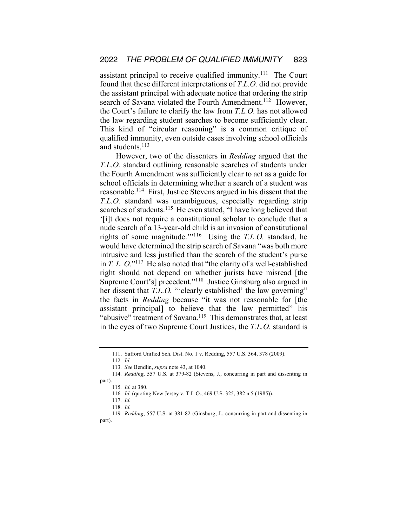assistant principal to receive qualified immunity.<sup>111</sup> The Court found that these different interpretations of *T.L.O.* did not provide the assistant principal with adequate notice that ordering the strip search of Savana violated the Fourth Amendment.<sup>112</sup> However, the Court's failure to clarify the law from *T.L.O.* has not allowed the law regarding student searches to become sufficiently clear. This kind of "circular reasoning" is a common critique of qualified immunity, even outside cases involving school officials and students.<sup>113</sup>

However, two of the dissenters in *Redding* argued that the *T.L.O.* standard outlining reasonable searches of students under the Fourth Amendment was sufficiently clear to act as a guide for school officials in determining whether a search of a student was reasonable.114 First, Justice Stevens argued in his dissent that the *T.L.O.* standard was unambiguous, especially regarding strip searches of students.<sup>115</sup> He even stated, "I have long believed that '[i]t does not require a constitutional scholar to conclude that a nude search of a 13-year-old child is an invasion of constitutional rights of some magnitude.'"116 Using the *T.L.O.* standard, he would have determined the strip search of Savana "was both more intrusive and less justified than the search of the student's purse in *T. L. O.*"117 He also noted that "the clarity of a well-established right should not depend on whether jurists have misread [the Supreme Court's] precedent."118 Justice Ginsburg also argued in her dissent that *T.L.O.* "'clearly established' the law governing" the facts in *Redding* because "it was not reasonable for [the assistant principal] to believe that the law permitted" his "abusive" treatment of Savana.<sup>119</sup> This demonstrates that, at least in the eyes of two Supreme Court Justices, the *T.L.O.* standard is

<sup>111.</sup> Safford Unified Sch. Dist. No. 1 v. Redding, 557 U.S. 364, 378 (2009).

<sup>112</sup>*. Id.*

<sup>113</sup>*. See* Bendlin, *supra* note 43, at 1040.

<sup>114</sup>*. Redding*, 557 U.S. at 379-82 (Stevens, J., concurring in part and dissenting in part).

<sup>115</sup>*. Id.* at 380.

<sup>116</sup>*. Id.* (quoting New Jersey v. T.L.O., 469 U.S. 325, 382 n.5 (1985)).

<sup>117</sup>*. Id.*

<sup>118</sup>*. Id.*

<sup>119</sup>*. Redding*, 557 U.S. at 381-82 (Ginsburg, J., concurring in part and dissenting in part).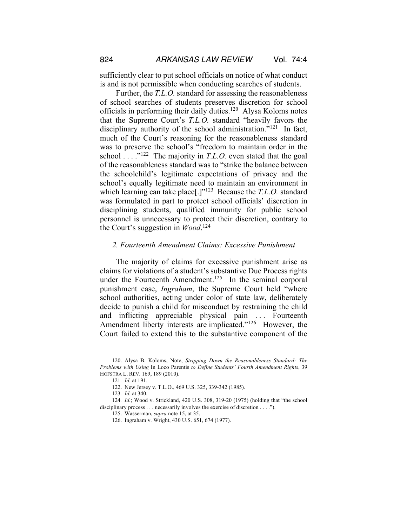sufficiently clear to put school officials on notice of what conduct is and is not permissible when conducting searches of students.

Further, the *T.L.O.* standard for assessing the reasonableness of school searches of students preserves discretion for school officials in performing their daily duties.120 Alysa Koloms notes that the Supreme Court's *T.L.O.* standard "heavily favors the disciplinary authority of the school administration."<sup>121</sup> In fact, much of the Court's reasoning for the reasonableness standard was to preserve the school's "freedom to maintain order in the school . . . .<sup>"122</sup> The majority in *T.L.O.* even stated that the goal of the reasonableness standard was to "strike the balance between the schoolchild's legitimate expectations of privacy and the school's equally legitimate need to maintain an environment in which learning can take place[.]"123 Because the *T.L.O.* standard was formulated in part to protect school officials' discretion in disciplining students, qualified immunity for public school personnel is unnecessary to protect their discretion, contrary to the Court's suggestion in *Wood*. 124

## *2. Fourteenth Amendment Claims: Excessive Punishment*

The majority of claims for excessive punishment arise as claims for violations of a student's substantive Due Process rights under the Fourteenth Amendment.<sup>125</sup> In the seminal corporal punishment case, *Ingraham*, the Supreme Court held "where school authorities, acting under color of state law, deliberately decide to punish a child for misconduct by restraining the child and inflicting appreciable physical pain ... Fourteenth Amendment liberty interests are implicated."<sup>126</sup> However, the Court failed to extend this to the substantive component of the

<sup>120.</sup> Alysa B. Koloms, Note, *Stripping Down the Reasonableness Standard: The Problems with Using* In Loco Parentis *to Define Students' Fourth Amendment Rights*, 39 HOFSTRA L. REV. 169, 189 (2010).

<sup>121</sup>*. Id.* at 191.

<sup>122.</sup> New Jersey v. T.L.O., 469 U.S. 325, 339-342 (1985).

<sup>123</sup>*. Id.* at 340.

<sup>124</sup>*. Id.*; Wood v. Strickland, 420 U.S. 308, 319-20 (1975) (holding that "the school disciplinary process . . . necessarily involves the exercise of discretion . . . .").

<sup>125.</sup> Wasserman, *supra* note 15, at 35.

<sup>126.</sup> Ingraham v. Wright, 430 U.S. 651, 674 (1977).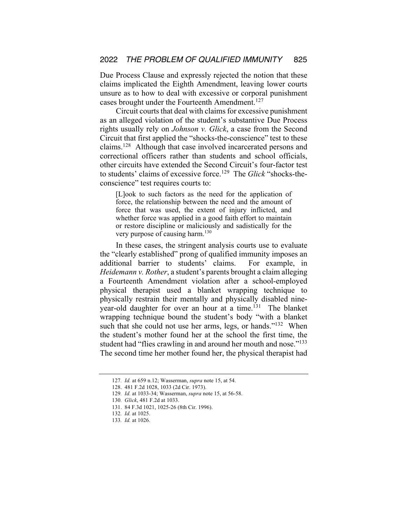Due Process Clause and expressly rejected the notion that these claims implicated the Eighth Amendment, leaving lower courts unsure as to how to deal with excessive or corporal punishment cases brought under the Fourteenth Amendment.<sup>127</sup>

Circuit courts that deal with claims for excessive punishment as an alleged violation of the student's substantive Due Process rights usually rely on *Johnson v. Glick*, a case from the Second Circuit that first applied the "shocks-the-conscience" test to these claims.128 Although that case involved incarcerated persons and correctional officers rather than students and school officials, other circuits have extended the Second Circuit's four-factor test to students' claims of excessive force.129 The *Glick* "shocks-theconscience" test requires courts to:

[L]ook to such factors as the need for the application of force, the relationship between the need and the amount of force that was used, the extent of injury inflicted, and whether force was applied in a good faith effort to maintain or restore discipline or maliciously and sadistically for the very purpose of causing harm.<sup>130</sup>

In these cases, the stringent analysis courts use to evaluate the "clearly established" prong of qualified immunity imposes an additional barrier to students' claims. For example, in *Heidemann v. Rother*, a student's parents brought a claim alleging a Fourteenth Amendment violation after a school-employed physical therapist used a blanket wrapping technique to physically restrain their mentally and physically disabled nineyear-old daughter for over an hour at a time.131 The blanket wrapping technique bound the student's body "with a blanket such that she could not use her arms, legs, or hands."<sup>132</sup> When the student's mother found her at the school the first time, the student had "flies crawling in and around her mouth and nose."<sup>133</sup> The second time her mother found her, the physical therapist had

<sup>127</sup>*. Id.* at 659 n.12; Wasserman, *supra* note 15, at 54.

<sup>128.</sup> 481 F.2d 1028, 1033 (2d Cir. 1973).

<sup>129</sup>*. Id.* at 1033-34; Wasserman, *supra* note 15, at 56-58.

<sup>130</sup>*. Glick*, 481 F.2d at 1033.

<sup>131.</sup> 84 F.3d 1021, 1025-26 (8th Cir. 1996).

<sup>132</sup>*. Id.* at 1025.

<sup>133</sup>*. Id.* at 1026.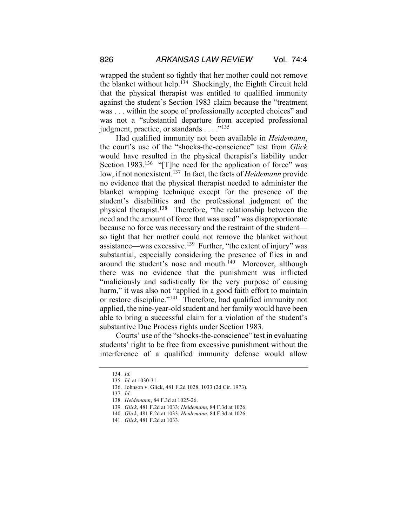wrapped the student so tightly that her mother could not remove the blanket without help.<sup>134</sup> Shockingly, the Eighth Circuit held that the physical therapist was entitled to qualified immunity against the student's Section 1983 claim because the "treatment was . . . within the scope of professionally accepted choices" and was not a "substantial departure from accepted professional judgment, practice, or standards . . . . "<sup>135</sup>

Had qualified immunity not been available in *Heidemann*, the court's use of the "shocks-the-conscience" test from *Glick* would have resulted in the physical therapist's liability under Section 1983.<sup>136</sup> "[T]he need for the application of force" was low, if not nonexistent.137 In fact, the facts of *Heidemann* provide no evidence that the physical therapist needed to administer the blanket wrapping technique except for the presence of the student's disabilities and the professional judgment of the physical therapist.138 Therefore, "the relationship between the need and the amount of force that was used" was disproportionate because no force was necessary and the restraint of the student so tight that her mother could not remove the blanket without assistance—was excessive.139 Further, "the extent of injury" was substantial, especially considering the presence of flies in and around the student's nose and mouth.<sup>140</sup> Moreover, although there was no evidence that the punishment was inflicted "maliciously and sadistically for the very purpose of causing harm," it was also not "applied in a good faith effort to maintain or restore discipline."141 Therefore, had qualified immunity not applied, the nine-year-old student and her family would have been able to bring a successful claim for a violation of the student's substantive Due Process rights under Section 1983.

Courts' use of the "shocks-the-conscience" test in evaluating students' right to be free from excessive punishment without the interference of a qualified immunity defense would allow

<sup>134</sup>*. Id.*

<sup>135</sup>*. Id.* at 1030-31.

<sup>136.</sup> Johnson v. Glick, 481 F.2d 1028, 1033 (2d Cir. 1973).

<sup>137</sup>*. Id.*

<sup>138</sup>*. Heidemann*, 84 F.3d at 1025-26.

<sup>139</sup>*. Glick*, 481 F.2d at 1033; *Heidemann*, 84 F.3d at 1026.

<sup>140</sup>*. Glick*, 481 F.2d at 1033; *Heidemann*, 84 F.3d at 1026.

<sup>141</sup>*. Glick*, 481 F.2d at 1033.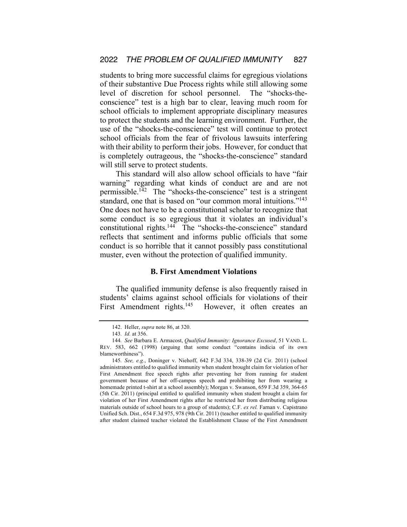students to bring more successful claims for egregious violations of their substantive Due Process rights while still allowing some level of discretion for school personnel. The "shocks-theconscience" test is a high bar to clear, leaving much room for school officials to implement appropriate disciplinary measures to protect the students and the learning environment. Further, the use of the "shocks-the-conscience" test will continue to protect school officials from the fear of frivolous lawsuits interfering with their ability to perform their jobs. However, for conduct that is completely outrageous, the "shocks-the-conscience" standard will still serve to protect students.

This standard will also allow school officials to have "fair warning" regarding what kinds of conduct are and are not permissible.<sup>142</sup> The "shocks-the-conscience" test is a stringent standard, one that is based on "our common moral intuitions."<sup>143</sup> One does not have to be a constitutional scholar to recognize that some conduct is so egregious that it violates an individual's constitutional rights.144 The "shocks-the-conscience" standard reflects that sentiment and informs public officials that some conduct is so horrible that it cannot possibly pass constitutional muster, even without the protection of qualified immunity.

## **B. First Amendment Violations**

The qualified immunity defense is also frequently raised in students' claims against school officials for violations of their First Amendment rights.<sup>145</sup> However, it often creates an

<sup>142.</sup> Heller, *supra* note 86, at 320.

<sup>143</sup>*. Id.* at 356.

<sup>144</sup>*. See* Barbara E. Armacost, *Qualified Immunity: Ignorance Excused*, 51 VAND. L. REV. 583, 662 (1998) (arguing that some conduct "contains indicia of its own blameworthiness").

<sup>145</sup>*. See, e.g.*, Doninger v. Niehoff, 642 F.3d 334, 338-39 (2d Cir. 2011) (school administrators entitled to qualified immunity when student brought claim for violation of her First Amendment free speech rights after preventing her from running for student government because of her off-campus speech and prohibiting her from wearing a homemade printed t-shirt at a school assembly); Morgan v. Swanson, 659 F.3d 359, 364-65 (5th Cir. 2011) (principal entitled to qualified immunity when student brought a claim for violation of her First Amendment rights after he restricted her from distributing religious materials outside of school hours to a group of students); C.F. *ex rel.* Farnan v. Capistrano Unified Sch. Dist., 654 F.3d 975, 978 (9th Cir. 2011) (teacher entitled to qualified immunity after student claimed teacher violated the Establishment Clause of the First Amendment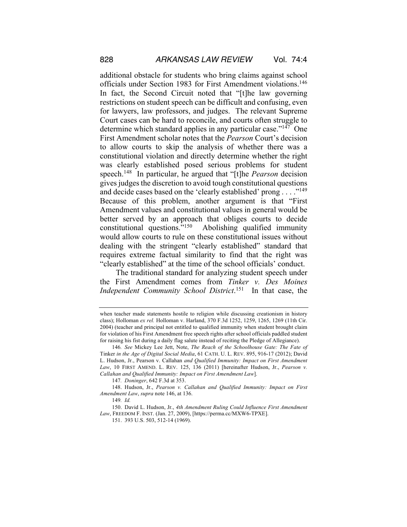additional obstacle for students who bring claims against school officials under Section 1983 for First Amendment violations.<sup>146</sup> In fact, the Second Circuit noted that "[t]he law governing restrictions on student speech can be difficult and confusing, even for lawyers, law professors, and judges. The relevant Supreme Court cases can be hard to reconcile, and courts often struggle to determine which standard applies in any particular case."<sup>147</sup> One First Amendment scholar notes that the *Pearson* Court's decision to allow courts to skip the analysis of whether there was a constitutional violation and directly determine whether the right was clearly established posed serious problems for student speech.148 In particular, he argued that "[t]he *Pearson* decision gives judges the discretion to avoid tough constitutional questions and decide cases based on the 'clearly established' prong . . . . "<sup>149</sup> Because of this problem, another argument is that "First Amendment values and constitutional values in general would be better served by an approach that obliges courts to decide constitutional questions."150 Abolishing qualified immunity would allow courts to rule on these constitutional issues without dealing with the stringent "clearly established" standard that requires extreme factual similarity to find that the right was "clearly established" at the time of the school officials' conduct.

The traditional standard for analyzing student speech under the First Amendment comes from *Tinker v. Des Moines Independent Community School District*. 151 In that case, the

151. 393 U.S. 503, 512-14 (1969).

when teacher made statements hostile to religion while discussing creationism in history class); Holloman *ex rel.* Holloman v. Harland, 370 F.3d 1252, 1259, 1265, 1269 (11th Cir. 2004) (teacher and principal not entitled to qualified immunity when student brought claim for violation of his First Amendment free speech rights after school officials paddled student for raising his fist during a daily flag salute instead of reciting the Pledge of Allegiance).

<sup>146</sup>*. See* Mickey Lee Jett, Note, *The Reach of the Schoolhouse Gate: The Fate of*  Tinker *in the Age of Digital Social Media*, 61 CATH. U. L. REV. 895, 916-17 (2012); David L. Hudson, Jr., Pearson v. Callahan *and Qualified Immunity: Impact on First Amendment Law*, 10 FIRST AMEND. L. REV. 125, 136 (2011) [hereinafter Hudson, Jr., *Pearson v. Callahan and Qualified Immunity: Impact on First Amendment Law*].

<sup>147</sup>*. Doninger*, 642 F.3d at 353.

<sup>148.</sup> Hudson, Jr., *Pearson v. Callahan and Qualified Immunity: Impact on First Amendment Law*, *supra* note 146, at 136.

<sup>149</sup>*. Id.*

<sup>150.</sup> David L. Hudson, Jr., *4th Amendment Ruling Could Influence First Amendment Law*, FREEDOM F. INST. (Jan. 27, 2009), [https://perma.cc/MXW6-TPXE].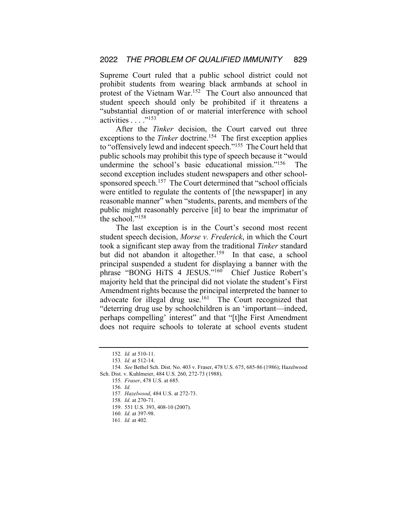Supreme Court ruled that a public school district could not prohibit students from wearing black armbands at school in protest of the Vietnam War.<sup>152</sup> The Court also announced that student speech should only be prohibited if it threatens a "substantial disruption of or material interference with school activities . . . . "<sup>153</sup>

After the *Tinker* decision, the Court carved out three exceptions to the *Tinker* doctrine.<sup>154</sup> The first exception applies to "offensively lewd and indecent speech."155 The Court held that public schools may prohibit this type of speech because it "would undermine the school's basic educational mission."<sup>156</sup> The second exception includes student newspapers and other schoolsponsored speech.<sup>157</sup> The Court determined that "school officials were entitled to regulate the contents of [the newspaper] in any reasonable manner" when "students, parents, and members of the public might reasonably perceive [it] to bear the imprimatur of the school."158

The last exception is in the Court's second most recent student speech decision, *Morse v. Frederick*, in which the Court took a significant step away from the traditional *Tinker* standard but did not abandon it altogether.<sup>159</sup> In that case, a school principal suspended a student for displaying a banner with the phrase "BONG HiTS 4 JESUS."160 Chief Justice Robert's majority held that the principal did not violate the student's First Amendment rights because the principal interpreted the banner to advocate for illegal drug use.<sup>161</sup> The Court recognized that "deterring drug use by schoolchildren is an 'important—indeed, perhaps compelling' interest" and that "[t]he First Amendment does not require schools to tolerate at school events student

158*. Id.* at 270-71.

<sup>152</sup>*. Id.* at 510-11.

<sup>153</sup>*. Id.* at 512-14.

<sup>154</sup>*. See* Bethel Sch. Dist. No. 403 v. Fraser, 478 U.S. 675, 685-86 (1986); Hazelwood Sch. Dist. v. Kuhlmeier, 484 U.S. 260, 272-73 (1988).

<sup>155</sup>*. Fraser*, 478 U.S. at 685.

<sup>156</sup>*. Id.* 

<sup>157</sup>*. Hazelwood*, 484 U.S. at 272-73.

<sup>159.</sup> 551 U.S. 393, 408-10 (2007).

<sup>160</sup>*. Id.* at 397-98.

<sup>161</sup>*. Id.* at 402.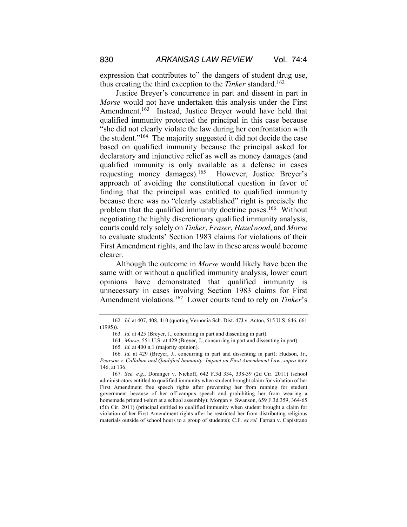expression that contributes to" the dangers of student drug use, thus creating the third exception to the *Tinker* standard.<sup>162</sup>

Justice Breyer's concurrence in part and dissent in part in *Morse* would not have undertaken this analysis under the First Amendment.<sup>163</sup> Instead, Justice Breyer would have held that qualified immunity protected the principal in this case because "she did not clearly violate the law during her confrontation with the student."164 The majority suggested it did not decide the case based on qualified immunity because the principal asked for declaratory and injunctive relief as well as money damages (and qualified immunity is only available as a defense in cases requesting money damages).165 However, Justice Breyer's approach of avoiding the constitutional question in favor of finding that the principal was entitled to qualified immunity because there was no "clearly established" right is precisely the problem that the qualified immunity doctrine poses.166 Without negotiating the highly discretionary qualified immunity analysis, courts could rely solely on *Tinker*, *Fraser*, *Hazelwood*, and *Morse* to evaluate students' Section 1983 claims for violations of their First Amendment rights, and the law in these areas would become clearer.

Although the outcome in *Morse* would likely have been the same with or without a qualified immunity analysis, lower court opinions have demonstrated that qualified immunity is unnecessary in cases involving Section 1983 claims for First Amendment violations.167 Lower courts tend to rely on *Tinker*'s

167*. See, e.g.*, Doninger v. Niehoff, 642 F.3d 334, 338-39 (2d Cir. 2011) (school administrators entitled to qualified immunity when student brought claim for violation of her First Amendment free speech rights after preventing her from running for student government because of her off-campus speech and prohibiting her from wearing a homemade printed t-shirt at a school assembly); Morgan v. Swanson, 659 F.3d 359, 364-65 (5th Cir. 2011) (principal entitled to qualified immunity when student brought a claim for violation of her First Amendment rights after he restricted her from distributing religious materials outside of school hours to a group of students); C.F. *ex rel.* Farnan v. Capistrano

<sup>162</sup>*. Id.* at 407, 408, 410 (quoting Vernonia Sch. Dist. 47J v. Acton, 515 U.S. 646, 661 (1995)).

<sup>163</sup>*. Id.* at 425 (Breyer, J., concurring in part and dissenting in part).

<sup>164</sup>*. Morse*, 551 U.S. at 429 (Breyer, J., concurring in part and dissenting in part).

<sup>165</sup>*. Id.* at 400 n.1 (majority opinion).

<sup>166</sup>*. Id.* at 429 (Breyer, J., concurring in part and dissenting in part); Hudson, Jr., *Pearson v. Callahan and Qualified Immunity: Impact on First Amendment Law*, *supra* note 146, at 136.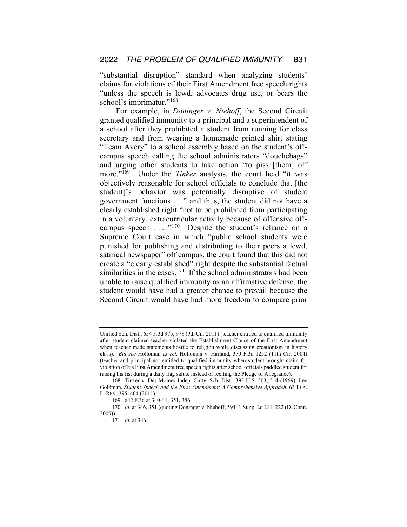"substantial disruption" standard when analyzing students' claims for violations of their First Amendment free speech rights "unless the speech is lewd, advocates drug use, or bears the school's imprimatur."<sup>168</sup>

For example, in *Doninger v. Niehoff*, the Second Circuit granted qualified immunity to a principal and a superintendent of a school after they prohibited a student from running for class secretary and from wearing a homemade printed shirt stating "Team Avery" to a school assembly based on the student's offcampus speech calling the school administrators "douchebags" and urging other students to take action "to piss [them] off more."169 Under the *Tinker* analysis, the court held "it was objectively reasonable for school officials to conclude that [the student]'s behavior was potentially disruptive of student government functions . . ." and thus, the student did not have a clearly established right "not to be prohibited from participating in a voluntary, extracurricular activity because of offensive offcampus speech ...."<sup>170</sup> Despite the student's reliance on a Supreme Court case in which "public school students were punished for publishing and distributing to their peers a lewd, satirical newspaper" off campus, the court found that this did not create a "clearly established" right despite the substantial factual similarities in the cases.<sup>171</sup> If the school administrators had been unable to raise qualified immunity as an affirmative defense, the student would have had a greater chance to prevail because the Second Circuit would have had more freedom to compare prior

Unified Sch. Dist., 654 F.3d 975, 978 (9th Cir. 2011) (teacher entitled to qualified immunity after student claimed teacher violated the Establishment Clause of the First Amendment when teacher made statements hostile to religion while discussing creationism in history class). *But see* Holloman *ex rel.* Holloman v. Harland, 370 F.3d 1252 (11th Cir. 2004) (teacher and principal not entitled to qualified immunity when student brought claim for violation of his First Amendment free speech rights after school officials paddled student for raising his fist during a daily flag salute instead of reciting the Pledge of Allegiance).

<sup>168.</sup> Tinker v. Des Moines Indep. Cmty. Sch. Dist., 393 U.S. 503, 514 (1969); Lee Goldman, *Student Speech and the First Amendment: A Comprehensive Approach*, 63 FLA. L. REV. 395, 404 (2011).

<sup>169.</sup> 642 F.3d at 340-41, 351, 356.

<sup>170</sup>*. Id.* at 346, 351 (quoting Doninger v. Niehoff, 594 F. Supp. 2d 211, 222 (D. Conn. 2009)).

<sup>171</sup>*. Id.* at 346.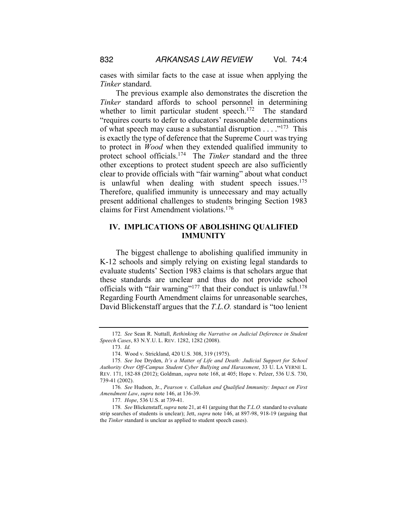cases with similar facts to the case at issue when applying the *Tinker* standard.

The previous example also demonstrates the discretion the *Tinker* standard affords to school personnel in determining whether to limit particular student speech.<sup>172</sup> The standard "requires courts to defer to educators' reasonable determinations of what speech may cause a substantial disruption  $\dots$ <sup>173</sup> This is exactly the type of deference that the Supreme Court was trying to protect in *Wood* when they extended qualified immunity to protect school officials.174 The *Tinker* standard and the three other exceptions to protect student speech are also sufficiently clear to provide officials with "fair warning" about what conduct is unlawful when dealing with student speech issues.<sup>175</sup> Therefore, qualified immunity is unnecessary and may actually present additional challenges to students bringing Section 1983 claims for First Amendment violations.176

## **IV. IMPLICATIONS OF ABOLISHING QUALIFIED IMMUNITY**

The biggest challenge to abolishing qualified immunity in K-12 schools and simply relying on existing legal standards to evaluate students' Section 1983 claims is that scholars argue that these standards are unclear and thus do not provide school officials with "fair warning"<sup>177</sup> that their conduct is unlawful.<sup>178</sup> Regarding Fourth Amendment claims for unreasonable searches, David Blickenstaff argues that the *T.L.O.* standard is "too lenient

<sup>172</sup>*. See* Sean R. Nuttall, *Rethinking the Narrative on Judicial Deference in Student Speech Cases*, 83 N.Y.U. L. REV. 1282, 1282 (2008).

<sup>173</sup>*. Id.*

<sup>174.</sup> Wood v. Strickland, 420 U.S. 308, 319 (1975).

<sup>175</sup>*. See* Joe Dryden, *It's a Matter of Life and Death: Judicial Support for School Authority Over Off-Campus Student Cyber Bullying and Harassment*, 33 U. LA VERNE L. REV. 171, 182-88 (2012); Goldman, *supra* note 168, at 405; Hope v. Pelzer, 536 U.S. 730, 739-41 (2002).

<sup>176</sup>*. See* Hudson, Jr., *Pearson v. Callahan and Qualified Immunity: Impact on First Amendment Law*, *supra* note 146, at 136-39.

<sup>177</sup>*. Hope*, 536 U.S. at 739-41.

<sup>178</sup>*. See* Blickenstaff, *supra* note 21, at 41 (arguing that the *T.L.O.* standard to evaluate strip searches of students is unclear); Jett, *supra* note 146, at 897-98, 918-19 (arguing that the *Tinker* standard is unclear as applied to student speech cases).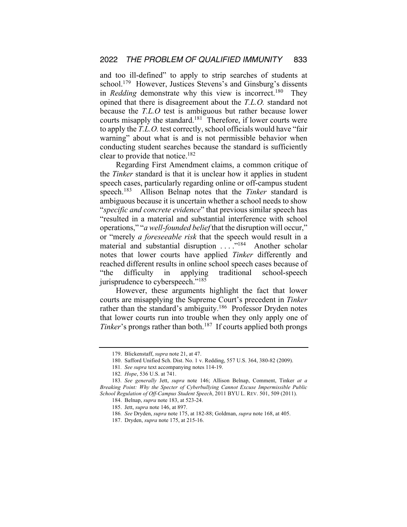and too ill-defined" to apply to strip searches of students at school.<sup>179</sup> However, Justices Stevens's and Ginsburg's dissents in *Redding* demonstrate why this view is incorrect.<sup>180</sup> They opined that there is disagreement about the *T.L.O.* standard not because the *T.L.O* test is ambiguous but rather because lower courts misapply the standard.<sup>181</sup> Therefore, if lower courts were to apply the *T.L.O.* test correctly, school officials would have "fair warning" about what is and is not permissible behavior when conducting student searches because the standard is sufficiently clear to provide that notice.182

Regarding First Amendment claims, a common critique of the *Tinker* standard is that it is unclear how it applies in student speech cases, particularly regarding online or off-campus student speech.183 Allison Belnap notes that the *Tinker* standard is ambiguous because it is uncertain whether a school needs to show "*specific and concrete evidence*" that previous similar speech has "resulted in a material and substantial interference with school operations," "*a well-founded belief* that the disruption will occur," or "merely *a foreseeable risk* that the speech would result in a material and substantial disruption ...."<sup>184</sup> Another scholar notes that lower courts have applied *Tinker* differently and reached different results in online school speech cases because of "the difficulty in applying traditional school-speech jurisprudence to cyberspeech."<sup>185</sup>

However, these arguments highlight the fact that lower courts are misapplying the Supreme Court's precedent in *Tinker* rather than the standard's ambiguity.<sup>186</sup> Professor Dryden notes that lower courts run into trouble when they only apply one of *Tinker*'s prongs rather than both.<sup>187</sup> If courts applied both prongs

<sup>179.</sup> Blickenstaff, *supra* note 21, at 47.

<sup>180.</sup> Safford Unified Sch. Dist. No. 1 v. Redding, 557 U.S. 364, 380-82 (2009).

<sup>181</sup>*. See supra* text accompanying notes 114-19.

<sup>182</sup>*. Hope*, 536 U.S. at 741.

<sup>183</sup>*. See generally* Jett, *supra* note 146; Allison Belnap, Comment, Tinker *at a Breaking Point: Why the Specter of Cyberbullying Cannot Excuse Impermissible Public School Regulation of Off-Campus Student Speech*, 2011 BYU L. REV. 501, 509 (2011).

<sup>184.</sup> Belnap, *supra* note 183, at 523-24.

<sup>185.</sup> Jett, *supra* note 146, at 897.

<sup>186</sup>*. See* Dryden, *supra* note 175, at 182-88; Goldman, *supra* note 168, at 405.

<sup>187.</sup> Dryden, *supra* note 175, at 215-16.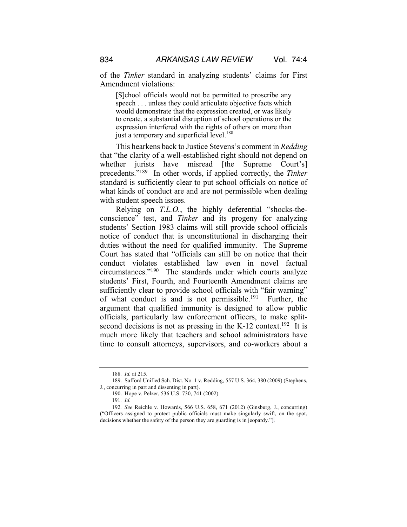of the *Tinker* standard in analyzing students' claims for First Amendment violations:

[S]chool officials would not be permitted to proscribe any speech . . . unless they could articulate objective facts which would demonstrate that the expression created, or was likely to create, a substantial disruption of school operations or the expression interfered with the rights of others on more than just a temporary and superficial level.<sup>188</sup>

This hearkens back to Justice Stevens's comment in *Redding* that "the clarity of a well-established right should not depend on whether jurists have misread [the Supreme Court's] precedents."189 In other words, if applied correctly, the *Tinker* standard is sufficiently clear to put school officials on notice of what kinds of conduct are and are not permissible when dealing with student speech issues.

Relying on *T.L.O.*, the highly deferential "shocks-theconscience" test, and *Tinker* and its progeny for analyzing students' Section 1983 claims will still provide school officials notice of conduct that is unconstitutional in discharging their duties without the need for qualified immunity. The Supreme Court has stated that "officials can still be on notice that their conduct violates established law even in novel factual circumstances."190 The standards under which courts analyze students' First, Fourth, and Fourteenth Amendment claims are sufficiently clear to provide school officials with "fair warning" of what conduct is and is not permissible.<sup>191</sup> Further, the argument that qualified immunity is designed to allow public officials, particularly law enforcement officers, to make splitsecond decisions is not as pressing in the K-12 context.<sup>192</sup> It is much more likely that teachers and school administrators have time to consult attorneys, supervisors, and co-workers about a

190. Hope v. Pelzer, 536 U.S. 730, 741 (2002).

<sup>188</sup>*. Id.* at 215.

<sup>189.</sup> Safford Unified Sch. Dist. No. 1 v. Redding, 557 U.S. 364, 380 (2009) (Stephens, J., concurring in part and dissenting in part).

<sup>191</sup>*. Id.*

<sup>192</sup>*. See* Reichle v. Howards, 566 U.S. 658, 671 (2012) (Ginsburg, J., concurring) ("Officers assigned to protect public officials must make singularly swift, on the spot, decisions whether the safety of the person they are guarding is in jeopardy.").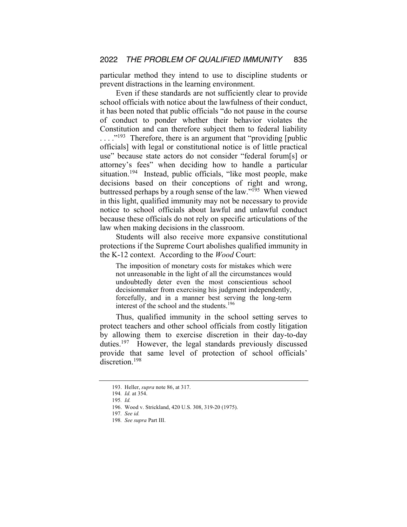particular method they intend to use to discipline students or prevent distractions in the learning environment.

Even if these standards are not sufficiently clear to provide school officials with notice about the lawfulness of their conduct, it has been noted that public officials "do not pause in the course of conduct to ponder whether their behavior violates the Constitution and can therefore subject them to federal liability ...."<sup>193</sup> Therefore, there is an argument that "providing [public officials] with legal or constitutional notice is of little practical use" because state actors do not consider "federal forum[s] or attorney's fees" when deciding how to handle a particular situation.194 Instead, public officials, "like most people, make decisions based on their conceptions of right and wrong, buttressed perhaps by a rough sense of the law."195 When viewed in this light, qualified immunity may not be necessary to provide notice to school officials about lawful and unlawful conduct because these officials do not rely on specific articulations of the law when making decisions in the classroom.

Students will also receive more expansive constitutional protections if the Supreme Court abolishes qualified immunity in the K-12 context. According to the *Wood* Court:

The imposition of monetary costs for mistakes which were not unreasonable in the light of all the circumstances would undoubtedly deter even the most conscientious school decisionmaker from exercising his judgment independently, forcefully, and in a manner best serving the long-term interest of the school and the students.<sup>196</sup>

Thus, qualified immunity in the school setting serves to protect teachers and other school officials from costly litigation by allowing them to exercise discretion in their day-to-day duties.<sup>197</sup> However, the legal standards previously discussed provide that same level of protection of school officials' discretion.<sup>198</sup>

<sup>193.</sup> Heller, *supra* note 86, at 317.

<sup>194</sup>*. Id.* at 354.

<sup>195</sup>*. Id.* 

<sup>196.</sup> Wood v. Strickland, 420 U.S. 308, 319-20 (1975).

<sup>197</sup>*. See id.* 

<sup>198</sup>*. See supra* Part III.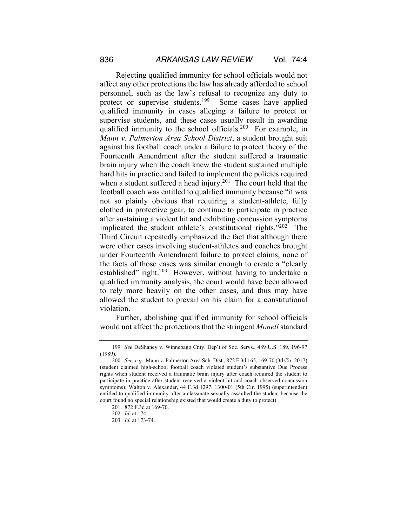Rejecting qualified immunity for school officials would not affect any other protections the law has already afforded to school personnel, such as the law's refusal to recognize any duty to protect or supervise students.199 Some cases have applied qualified immunity in cases alleging a failure to protect or supervise students, and these cases usually result in awarding qualified immunity to the school officials.<sup>200</sup> For example, in *Mann v. Palmerton Area School District*, a student brought suit against his football coach under a failure to protect theory of the Fourteenth Amendment after the student suffered a traumatic brain injury when the coach knew the student sustained multiple hard hits in practice and failed to implement the policies required when a student suffered a head injury.<sup>201</sup> The court held that the football coach was entitled to qualified immunity because "it was not so plainly obvious that requiring a student-athlete, fully clothed in protective gear, to continue to participate in practice after sustaining a violent hit and exhibiting concussion symptoms implicated the student athlete's constitutional rights."202 The Third Circuit repeatedly emphasized the fact that although there were other cases involving student-athletes and coaches brought under Fourteenth Amendment failure to protect claims, none of the facts of those cases was similar enough to create a "clearly established" right.<sup>203</sup> However, without having to undertake a qualified immunity analysis, the court would have been allowed to rely more heavily on the other cases, and thus may have allowed the student to prevail on his claim for a constitutional violation.

Further, abolishing qualified immunity for school officials would not affect the protections that the stringent *Monell* standard

<sup>199</sup>*. See* DeShaney v. Winnebago Cnty. Dep't of Soc. Servs., 489 U.S. 189, 196-97 (1989).

<sup>200</sup>*. See, e.g.*, Mann v. Palmerton Area Sch. Dist., 872 F.3d 165, 169-70 (3d Cir. 2017) (student claimed high-school football coach violated student's substantive Due Process rights when student received a traumatic brain injury after coach required the student to participate in practice after student received a violent hit and coach observed concussion symptoms); Walton v. Alexander, 44 F.3d 1297, 1300-01 (5th Cir. 1995) (superintendent entitled to qualified immunity after a classmate sexually assaulted the student because the court found no special relationship existed that would create a duty to protect).

<sup>201.</sup> 872 F.3d at 169-70.

<sup>202</sup>*. Id.* at 174.

<sup>203</sup>*. Id.* at 173-74.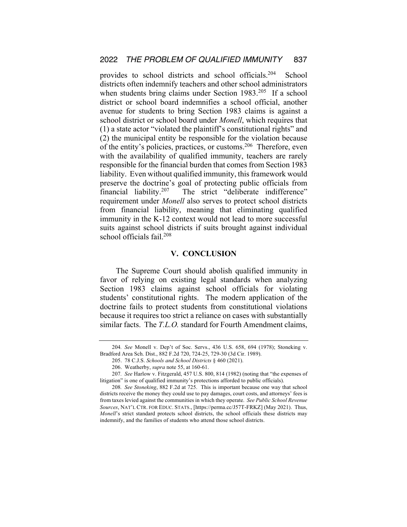provides to school districts and school officials.204 School districts often indemnify teachers and other school administrators when students bring claims under Section 1983.<sup>205</sup> If a school district or school board indemnifies a school official, another avenue for students to bring Section 1983 claims is against a school district or school board under *Monell*, which requires that (1) a state actor "violated the plaintiff's constitutional rights" and (2) the municipal entity be responsible for the violation because of the entity's policies, practices, or customs.206 Therefore, even with the availability of qualified immunity, teachers are rarely responsible for the financial burden that comes from Section 1983 liability. Even without qualified immunity, this framework would preserve the doctrine's goal of protecting public officials from financial liability.<sup>207</sup> The strict "deliberate indifference" requirement under *Monell* also serves to protect school districts from financial liability, meaning that eliminating qualified immunity in the K-12 context would not lead to more successful suits against school districts if suits brought against individual school officials fail.<sup>208</sup>

## **V. CONCLUSION**

The Supreme Court should abolish qualified immunity in favor of relying on existing legal standards when analyzing Section 1983 claims against school officials for violating students' constitutional rights. The modern application of the doctrine fails to protect students from constitutional violations because it requires too strict a reliance on cases with substantially similar facts. The *T.L.O.* standard for Fourth Amendment claims,

<sup>204</sup>*. See* Monell v. Dep't of Soc. Servs., 436 U.S. 658, 694 (1978); Stoneking v. Bradford Area Sch. Dist., 882 F.2d 720, 724-25, 729-30 (3d Cir. 1989).

<sup>205.</sup> 78 C.J.S. *Schools and School Districts* § 460 (2021).

<sup>206.</sup> Weatherby, *supra* note 55, at 160-61.

<sup>207</sup>*. See* Harlow v. Fitzgerald, 457 U.S. 800, 814 (1982) (noting that "the expenses of litigation" is one of qualified immunity's protections afforded to public officials).

<sup>208</sup>*. See Stoneking*, 882 F.2d at 725. This is important because one way that school districts receive the money they could use to pay damages, court costs, and attorneys' fees is from taxes levied against the communities in which they operate. *See Public School Revenue Sources*, NAT'L CTR. FOR EDUC. STATS., [https://perma.cc/J57T-FRKZ] (May 2021). Thus, *Monell*'s strict standard protects school districts, the school officials these districts may indemnify, and the families of students who attend those school districts.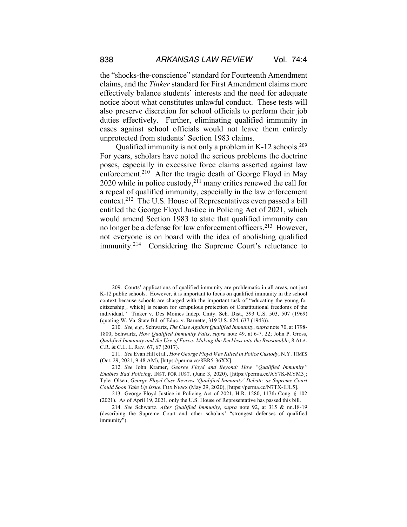the "shocks-the-conscience" standard for Fourteenth Amendment claims, and the *Tinker* standard for First Amendment claims more effectively balance students' interests and the need for adequate notice about what constitutes unlawful conduct. These tests will also preserve discretion for school officials to perform their job duties effectively. Further, eliminating qualified immunity in cases against school officials would not leave them entirely unprotected from students' Section 1983 claims.

Qualified immunity is not only a problem in K-12 schools.209 For years, scholars have noted the serious problems the doctrine poses, especially in excessive force claims asserted against law enforcement.<sup>210</sup> After the tragic death of George Floyd in May 2020 while in police custody,<sup>211</sup> many critics renewed the call for a repeal of qualified immunity, especially in the law enforcement context.212 The U.S. House of Representatives even passed a bill entitled the George Floyd Justice in Policing Act of 2021, which would amend Section 1983 to state that qualified immunity can no longer be a defense for law enforcement officers.213 However, not everyone is on board with the idea of abolishing qualified immunity.214 Considering the Supreme Court's reluctance to

<sup>209.</sup> Courts' applications of qualified immunity are problematic in all areas, not just K-12 public schools. However, it is important to focus on qualified immunity in the school context because schools are charged with the important task of "educating the young for citizenship[, which] is reason for scrupulous protection of Constitutional freedoms of the individual." Tinker v. Des Moines Indep. Cmty. Sch. Dist., 393 U.S. 503, 507 (1969) (quoting W. Va. State Bd. of Educ. v. Barnette, 319 U.S. 624, 637 (1943)).

<sup>210</sup>*. See, e.g.*, Schwartz, *The Case Against Qualified Immunity*, *supra* note 70, at 1798- 1800; Schwartz, *How Qualified Immunity Fails*, *supra* note 49, at 6-7, 22; John P. Gross, *Qualified Immunity and the Use of Force: Making the Reckless into the Reasonable*, 8 ALA. C.R. & C.L. L. REV. 67, 67 (2017).

<sup>211</sup>*. See* Evan Hill et al., *How George Floyd Was Killed in Police Custody*, N.Y. TIMES (Oct. 29, 2021, 9:48 AM), [https://perma.cc/8BR5-36XX].

<sup>212</sup>*. See* John Kramer, *George Floyd and Beyond: How "Qualified Immunity" Enables Bad Policing*, INST. FOR JUST. (June 3, 2020), [https://perma.cc/AY7K-MYM3]; Tyler Olsen, *George Floyd Case Revives 'Qualified Immunity' Debate, as Supreme Court Could Soon Take Up Issue*, FOX NEWS (May 29, 2020), [https://perma.cc/N7TX-EJL5].

<sup>213.</sup> George Floyd Justice in Policing Act of 2021, H.R. 1280, 117th Cong. § 102 (2021). As of April 19, 2021, only the U.S. House of Representative has passed this bill.

<sup>214</sup>*. See* Schwartz, *After Qualified Immunity*, *supra* note 92, at 315 & nn.18-19 (describing the Supreme Court and other scholars' "strongest defenses of qualified immunity").